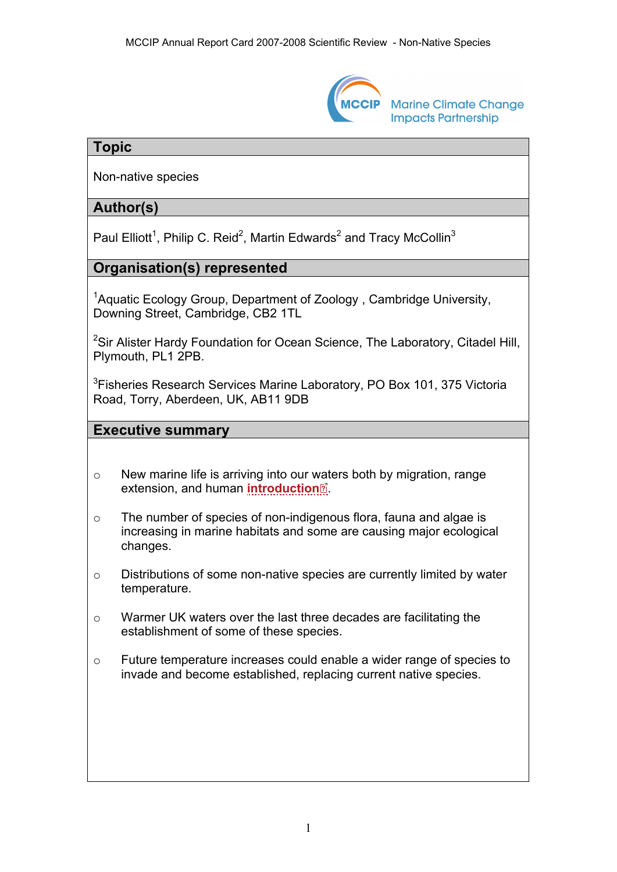

**Marine Climate Change Impacts Partnership** 

## **Topic**

Non-native species

# **Author(s)**

Paul Elliott<sup>1</sup>, Philip C. Reid<sup>2</sup>, Martin Edwards<sup>2</sup> and Tracy McCollin<sup>3</sup>

# **Organisation(s) represented**

<sup>1</sup> Aquatic Ecology Group, Department of Zoology, Cambridge University, Downing Street, Cambridge, CB2 1TL

<sup>2</sup>Sir Alister Hardy Foundation for Ocean Science, The Laboratory, Citadel Hill, Plymouth, PL1 2PB.

<sup>3</sup>Fisheries Research Services Marine Laboratory, PO Box 101, 375 Victoria Road, Torry, Aberdeen, UK, AB11 9DB

### **Executive summary**

- o New marine life is arriving into our [wat](http://www.mccip.org.uk/arc/2007/glossary.htm)ers both by migration, range extension, and human **[introduction](http://www.mccip.org.uk/arc/2007/glossary.htm#Introduction)** .
- o The number of species of non-indigenous flora, fauna and algae is increasing in marine habitats and some are causing major ecological changes.
- o Distributions of some non-native species are currently limited by water temperature.
- o Warmer UK waters over the last three decades are facilitating the establishment of some of these species.
- o Future temperature increases could enable a wider range of species to invade and become established, replacing current native species.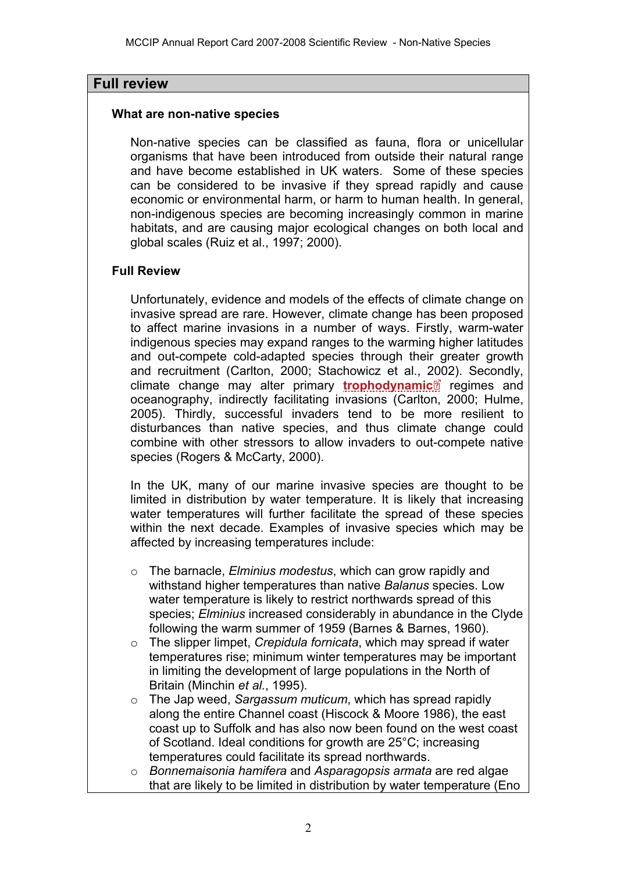### **Full review**

#### **What are non-native species**

Non-native species can be classified as fauna, flora or unicellular organisms that have been introduced from outside their natural range and have become established in UK waters. Some of these species can be considered to be invasive if they spread rapidly and cause economic or environmental harm, or harm to human health. In general, non-indigenous species are becoming increasingly common in marine habitats, and are causing major ecological changes on both local and global scales (Ruiz et al., 1997; 2000).

#### **Full Review**

Unfortunately, evidence and models of the effects of climate change on invasive spread are rare. However, climate change has been proposed to affect marine invasions in a number of ways. Firstly, warm-water indigenous species may expand ranges to the warming higher latitudes and out-compete cold-adapted species through their greater growth and recruitment (Carlton, 2000; Stachowicz et al., [200](http://www.mccip.org.uk/arc/2007/glossary.htm)2). Secondly, climate change may alter primary **[trophodynamic](http://www.mccip.org.uk/arc/2007/glossary.htm#Trophic_levels)** regimes and oceanography, indirectly facilitating invasions (Carlton, 2000; Hulme, 2005). Thirdly, successful invaders tend to be more resilient to disturbances than native species, and thus climate change could combine with other stressors to allow invaders to out-compete native species (Rogers & McCarty, 2000).

In the UK, many of our marine invasive species are thought to be limited in distribution by water temperature. It is likely that increasing water temperatures will further facilitate the spread of these species within the next decade. Examples of invasive species which may be affected by increasing temperatures include:

- o The barnacle, *Elminius modestus*, which can grow rapidly and withstand higher temperatures than native *Balanus* species. Low water temperature is likely to restrict northwards spread of this species; *Elminius* increased considerably in abundance in the Clyde following the warm summer of 1959 (Barnes & Barnes, 1960).
- o The slipper limpet, *Crepidula fornicata*, which may spread if water temperatures rise; minimum winter temperatures may be important in limiting the development of large populations in the North of Britain (Minchin *et al.*, 1995).
- o The Jap weed, *Sargassum muticum*, which has spread rapidly along the entire Channel coast (Hiscock & Moore 1986), the east coast up to Suffolk and has also now been found on the west coast of Scotland. Ideal conditions for growth are 25°C; increasing temperatures could facilitate its spread northwards.
- o *Bonnemaisonia hamifera* and *Asparagopsis armata* are red algae that are likely to be limited in distribution by water temperature (Eno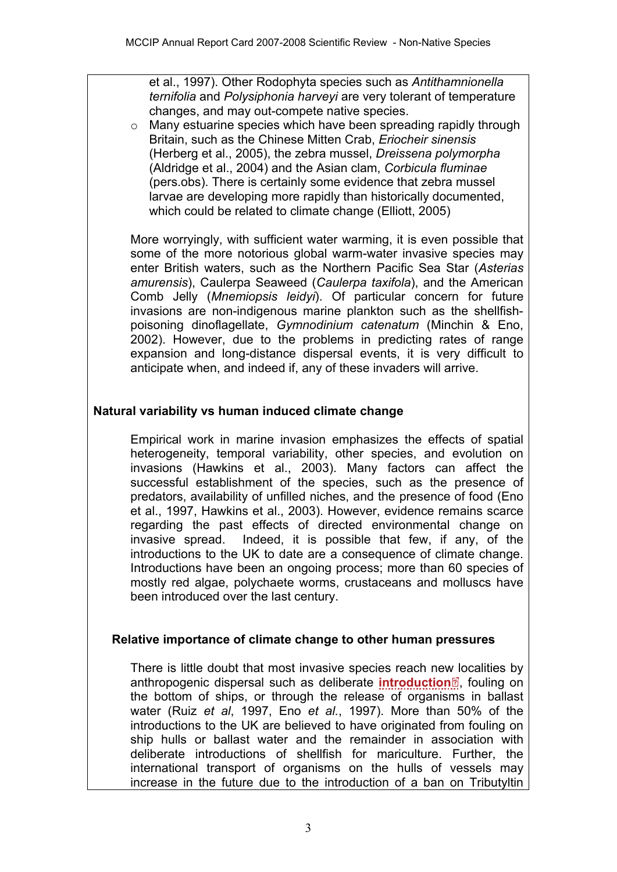et al., 1997). Other Rodophyta species such as *Antithamnionella ternifolia* and *Polysiphonia harveyi* are very tolerant of temperature changes, and may out-compete native species.

o Many estuarine species which have been spreading rapidly through Britain, such as the Chinese Mitten Crab, *Eriocheir sinensis* (Herberg et al., 2005), the zebra mussel, *Dreissena polymorpha* (Aldridge et al., 2004) and the Asian clam, *Corbicula fluminae* (pers.obs). There is certainly some evidence that zebra mussel larvae are developing more rapidly than historically documented, which could be related to climate change (Elliott, 2005)

More worryingly, with sufficient water warming, it is even possible that some of the more notorious global warm-water invasive species may enter British waters, such as the Northern Pacific Sea Star (*Asterias amurensis*), Caulerpa Seaweed (*Caulerpa taxifola*), and the American Comb Jelly (*Mnemiopsis leidyi*). Of particular concern for future invasions are non-indigenous marine plankton such as the shellfishpoisoning dinoflagellate, *Gymnodinium catenatum* (Minchin & Eno, 2002). However, due to the problems in predicting rates of range expansion and long-distance dispersal events, it is very difficult to anticipate when, and indeed if, any of these invaders will arrive.

## **Natural variability vs human induced climate change**

Empirical work in marine invasion emphasizes the effects of spatial heterogeneity, temporal variability, other species, and evolution on invasions (Hawkins et al., 2003). Many factors can affect the successful establishment of the species, such as the presence of predators, availability of unfilled niches, and the presence of food (Eno et al., 1997, Hawkins et al., 2003). However, evidence remains scarce regarding the past effects of directed environmental change on invasive spread. Indeed, it is possible that few, if any, of the introductions to the UK to date are a consequence of climate change. Introductions have been an ongoing process; more than 60 species of mostly red algae, polychaete worms, crustaceans and molluscs have been introduced over the last century.

### **Relative importance of climate change to other human pressures**

There is little doubt that most invasive species reach ne[w lo](http://www.mccip.org.uk/arc/2007/glossary.htm)calities by anthropogenic dispersal such as deliberate **[introduction](http://www.mccip.org.uk/arc/2007/glossary.htm#Introduction)** , fouling on the bottom of ships, or through the release of organisms in ballast water (Ruiz *et al*, 1997, Eno *et al.*, 1997). More than 50% of the introductions to the UK are believed to have originated from fouling on ship hulls or ballast water and the remainder in association with deliberate introductions of shellfish for mariculture. Further, the international transport of organisms on the hulls of vessels may increase in the future due to the introduction of a ban on Tributyltin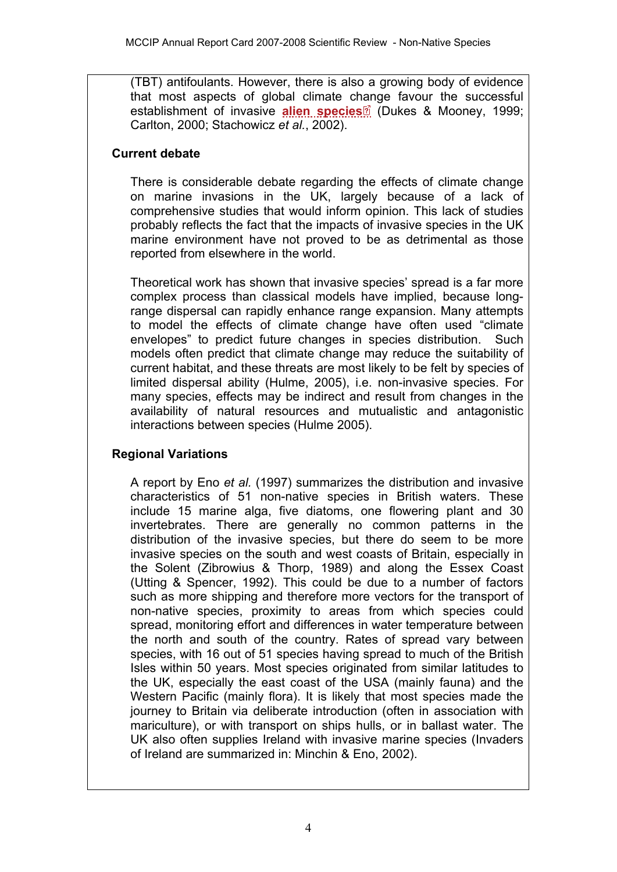(TBT) antifoulants. However, there is also a growing body of evidence that most aspects of global climate c[han](http://www.mccip.org.uk/arc/2007/glossary.htm)ge favour the successful establishment of invasive **[alien species](http://www.mccip.org.uk/arc/2007/glossary.htm#Alien)** (Dukes & Mooney, 1999; Carlton, 2000; Stachowicz *et al.*, 2002).

#### **Current debate**

There is considerable debate regarding the effects of climate change on marine invasions in the UK, largely because of a lack of comprehensive studies that would inform opinion. This lack of studies probably reflects the fact that the impacts of invasive species in the UK marine environment have not proved to be as detrimental as those reported from elsewhere in the world.

Theoretical work has shown that invasive species' spread is a far more complex process than classical models have implied, because longrange dispersal can rapidly enhance range expansion. Many attempts to model the effects of climate change have often used "climate envelopes" to predict future changes in species distribution. Such models often predict that climate change may reduce the suitability of current habitat, and these threats are most likely to be felt by species of limited dispersal ability (Hulme, 2005), i.e. non-invasive species. For many species, effects may be indirect and result from changes in the availability of natural resources and mutualistic and antagonistic interactions between species (Hulme 2005).

### **Regional Variations**

A report by Eno *et al.* (1997) summarizes the distribution and invasive characteristics of 51 non-native species in British waters. These include 15 marine alga, five diatoms, one flowering plant and 30 invertebrates. There are generally no common patterns in the distribution of the invasive species, but there do seem to be more invasive species on the south and west coasts of Britain, especially in the Solent (Zibrowius & Thorp, 1989) and along the Essex Coast (Utting & Spencer, 1992). This could be due to a number of factors such as more shipping and therefore more vectors for the transport of non-native species, proximity to areas from which species could spread, monitoring effort and differences in water temperature between the north and south of the country. Rates of spread vary between species, with 16 out of 51 species having spread to much of the British Isles within 50 years. Most species originated from similar latitudes to the UK, especially the east coast of the USA (mainly fauna) and the Western Pacific (mainly flora). It is likely that most species made the journey to Britain via deliberate introduction (often in association with mariculture), or with transport on ships hulls, or in ballast water. The UK also often supplies Ireland with invasive marine species (Invaders of Ireland are summarized in: Minchin & Eno, 2002).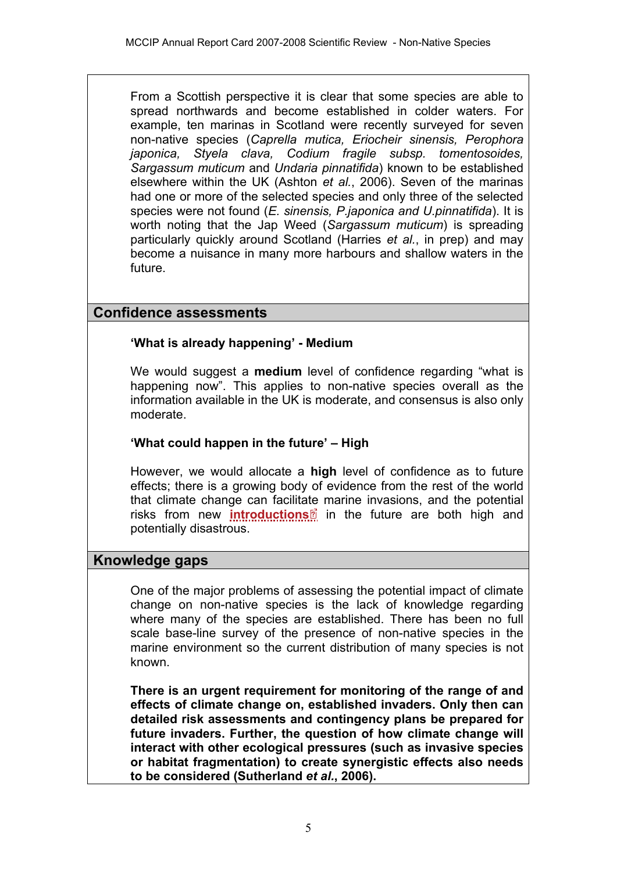From a Scottish perspective it is clear that some species are able to spread northwards and become established in colder waters. For example, ten marinas in Scotland were recently surveyed for seven non-native species (*Caprella mutica, Eriocheir sinensis, Perophora japonica, Styela clava, Codium fragile subsp. tomentosoides, Sargassum muticum* and *Undaria pinnatifida*) known to be established elsewhere within the UK (Ashton *et al.*, 2006). Seven of the marinas had one or more of the selected species and only three of the selected species were not found (*E. sinensis, P.japonica and U.pinnatifida*). It is worth noting that the Jap Weed (*Sargassum muticum*) is spreading particularly quickly around Scotland (Harries *et al.*, in prep) and may become a nuisance in many more harbours and shallow waters in the future.

# **Confidence assessments**

## **'What is already happening' - Medium**

We would suggest a **medium** level of confidence regarding "what is happening now". This applies to non-native species overall as the information available in the UK is moderate, and consensus is also only moderate.

## **'What could happen in the future' – High**

However, we would allocate a **high** level of confidence as to future effects; there is a growing body of evidence from the rest of the world that climate change can facilit[ate](http://www.mccip.org.uk/arc/2007/glossary.htm) marine invasions, and the potential risks from new *[introductions](http://www.mccip.org.uk/arc/2007/glossary.htm#Introduction)<sup>o*</sup> in the future are both high and potentially disastrous.

# **Knowledge gaps**

One of the major problems of assessing the potential impact of climate change on non-native species is the lack of knowledge regarding where many of the species are established. There has been no full scale base-line survey of the presence of non-native species in the marine environment so the current distribution of many species is not known.

**There is an urgent requirement for monitoring of the range of and effects of climate change on, established invaders. Only then can detailed risk assessments and contingency plans be prepared for future invaders. Further, the question of how climate change will interact with other ecological pressures (such as invasive species or habitat fragmentation) to create synergistic effects also needs to be considered (Sutherland** *et al.***, 2006).**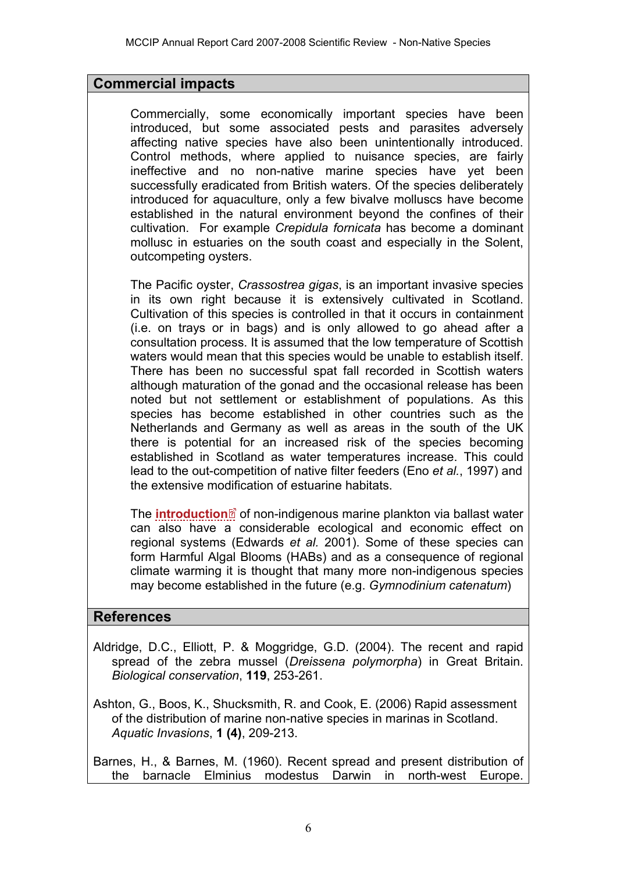## **Commercial impacts**

Commercially, some economically important species have been introduced, but some associated pests and parasites adversely affecting native species have also been unintentionally introduced. Control methods, where applied to nuisance species, are fairly ineffective and no non-native marine species have yet been successfully eradicated from British waters. Of the species deliberately introduced for aquaculture, only a few bivalve molluscs have become established in the natural environment beyond the confines of their cultivation. For example *Crepidula fornicata* has become a dominant mollusc in estuaries on the south coast and especially in the Solent, outcompeting oysters.

The Pacific oyster, *Crassostrea gigas*, is an important invasive species in its own right because it is extensively cultivated in Scotland. Cultivation of this species is controlled in that it occurs in containment (i.e. on trays or in bags) and is only allowed to go ahead after a consultation process. It is assumed that the low temperature of Scottish waters would mean that this species would be unable to establish itself. There has been no successful spat fall recorded in Scottish waters although maturation of the gonad and the occasional release has been noted but not settlement or establishment of populations. As this species has become established in other countries such as the Netherlands and Germany as well as areas in the south of the UK there is potential for an increased risk of the species becoming established in Scotland as water temperatures increase. This could lead to the out-competition of native filter feeders (Eno *et al.*, 1997) and the extensive modification of estuarine habitats.

The **[introduction](http://www.mccip.org.uk/arc/2007/glossary.htm#Introduction)**<sup>2</sup> of non-indigenous marine plankton via ballast water can also have a considerable ecological and economic effect on regional systems (Edwards *et al.* 2001). Some of these species can form Harmful Algal Blooms (HABs) and as a consequence of regional climate warming it is thought that many more non-indigenous species may become established in the future (e.g. *Gymnodinium catenatum*)

### **References**

Aldridge, D.C., Elliott, P. & Moggridge, G.D. (2004). The recent and rapid spread of the zebra mussel (*Dreissena polymorpha*) in Great Britain. *Biological conservation*, **119**, 253-261.

Ashton, G., Boos, K., Shucksmith, R. and Cook, E. (2006) Rapid assessment of the distribution of marine non-native species in marinas in Scotland. *Aquatic Invasions*, **1 (4)**, 209-213.

Barnes, H., & Barnes, M. (1960). Recent spread and present distribution of the barnacle Elminius modestus Darwin in north-west Europe.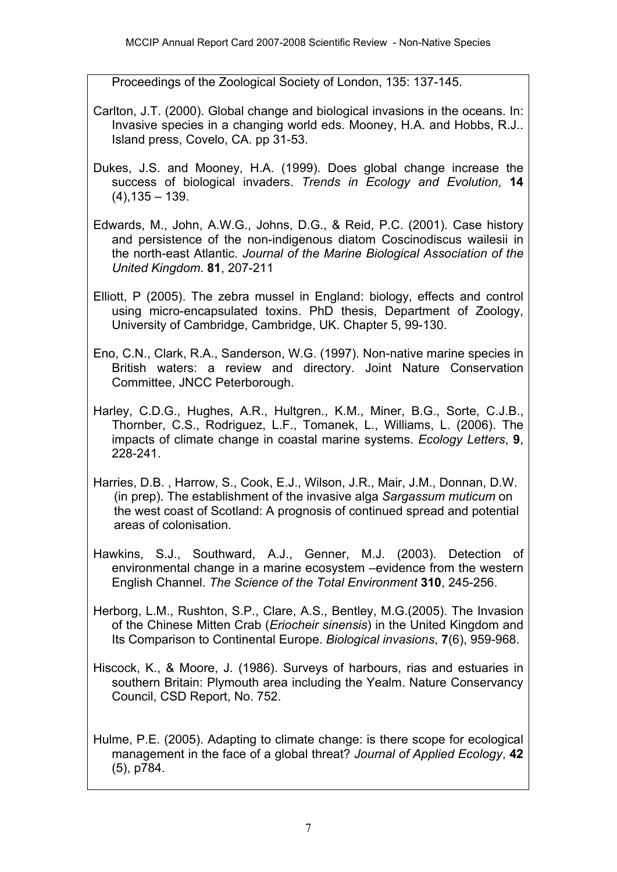Proceedings of the Zoological Society of London, 135: 137-145.

- Carlton, J.T. (2000). Global change and biological invasions in the oceans. In: Invasive species in a changing world eds. Mooney, H.A. and Hobbs, R.J.. Island press, Covelo, CA. pp 31-53.
- Dukes, J.S. and Mooney, H.A. (1999). Does global change increase the success of biological invaders. *Trends in Ecology and Evolution*, **14**  $(4)$ , 135 – 139.
- Edwards, M., John, A.W.G., Johns, D.G., & Reid, P.C. (2001). Case history and persistence of the non-indigenous diatom Coscinodiscus wailesii in the north-east Atlantic. *Journal of the Marine Biological Association of the United Kingdom*. **81**, 207-211
- Elliott, P (2005). The zebra mussel in England: biology, effects and control using micro-encapsulated toxins. PhD thesis, Department of Zoology, University of Cambridge, Cambridge, UK. Chapter 5, 99-130.
- Eno, C.N., Clark, R.A., Sanderson, W.G. (1997). Non-native marine species in British waters: a review and directory. Joint Nature Conservation Committee, JNCC Peterborough.
- Harley, C.D.G., Hughes, A.R., Hultgren., K.M., Miner, B.G., Sorte, C.J.B., Thornber, C.S., Rodriguez, L.F., Tomanek, L., Williams, L. (2006). The impacts of climate change in coastal marine systems. *Ecology Letters*, **9**, 228-241.
- Harries, D.B. , Harrow, S., Cook, E.J., Wilson, J.R., Mair, J.M., Donnan, D.W. (in prep). The establishment of the invasive alga *Sargassum muticum* on the west coast of Scotland: A prognosis of continued spread and potential areas of colonisation.
- Hawkins, S.J., Southward, A.J., Genner, M.J. (2003). Detection of environmental change in a marine ecosystem –evidence from the western English Channel. *The Science of the Total Environment* **310**, 245-256.
- Herborg, L.M., Rushton, S.P., Clare, A.S., Bentley, M.G.(2005). The Invasion of the Chinese Mitten Crab (*Eriocheir sinensis*) in the United Kingdom and Its Comparison to Continental Europe. *Biological invasions*, **7**(6), 959-968.
- Hiscock, K., & Moore, J. (1986). Surveys of harbours, rias and estuaries in southern Britain: Plymouth area including the Yealm. Nature Conservancy Council, CSD Report, No. 752.
- Hulme, P.E. (2005). Adapting to climate change: is there scope for ecological management in the face of a global threat? *Journal of Applied Ecology*, **42**  (5), p784.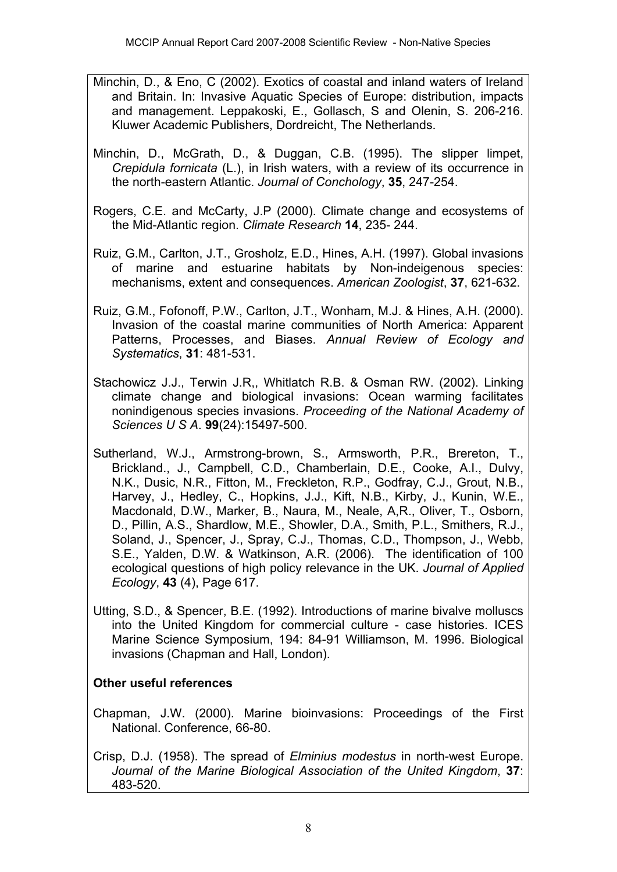- Minchin, D., & Eno, C (2002). Exotics of coastal and inland waters of Ireland and Britain. In: Invasive Aquatic Species of Europe: distribution, impacts and management. Leppakoski, E., Gollasch, S and Olenin, S. 206-216. Kluwer Academic Publishers, Dordreicht, The Netherlands.
- Minchin, D., McGrath, D., & Duggan, C.B. (1995). The slipper limpet, *Crepidula fornicata* (L.), in Irish waters, with a review of its occurrence in the north-eastern Atlantic. *Journal of Conchology*, **35**, 247-254.
- Rogers, C.E. and McCarty, J.P (2000). Climate change and ecosystems of the Mid-Atlantic region. *Climate Research* **14**, 235- 244.
- Ruiz, G.M., Carlton, J.T., Grosholz, E.D., Hines, A.H. (1997). Global invasions of marine and estuarine habitats by Non-indeigenous species: mechanisms, extent and consequences. *American Zoologist*, **37**, 621-632.
- Ruiz, G.M., Fofonoff, P.W., Carlton, J.T., Wonham, M.J. & Hines, A.H. (2000). Invasion of the coastal marine communities of North America: Apparent Patterns, Processes, and Biases. *Annual Review of Ecology and Systematics*, **31**: 481-531.
- Stachowicz J.J., Terwin J.R,, Whitlatch R.B. & Osman RW. (2002). Linking climate change and biological invasions: Ocean warming facilitates nonindigenous species invasions. *Proceeding of the National Academy of Sciences U S A*. **99**(24):15497-500.
- Sutherland, W.J., Armstrong-brown, S., Armsworth, P.R., Brereton, T., Brickland., J., Campbell, C.D., Chamberlain, D.E., Cooke, A.I., Dulvy, N.K., Dusic, N.R., Fitton, M., Freckleton, R.P., Godfray, C.J., Grout, N.B., Harvey, J., Hedley, C., Hopkins, J.J., Kift, N.B., Kirby, J., Kunin, W.E., Macdonald, D.W., Marker, B., Naura, M., Neale, A,R., Oliver, T., Osborn, D., Pillin, A.S., Shardlow, M.E., Showler, D.A., Smith, P.L., Smithers, R.J., Soland, J., Spencer, J., Spray, C.J., Thomas, C.D., Thompson, J., Webb, S.E., Yalden, D.W. & Watkinson, A.R. (2006). The identification of 100 ecological questions of high policy relevance in the UK. *Journal of Applied Ecology*, **43** (4), Page 617.
- Utting, S.D., & Spencer, B.E. (1992). Introductions of marine bivalve molluscs into the United Kingdom for commercial culture - case histories. ICES Marine Science Symposium, 194: 84-91 Williamson, M. 1996. Biological invasions (Chapman and Hall, London).

# **Other useful references**

- Chapman, J.W. (2000). Marine bioinvasions: Proceedings of the First National. Conference, 66-80.
- Crisp, D.J. (1958). The spread of *Elminius modestus* in north-west Europe. *Journal of the Marine Biological Association of the United Kingdom*, **37**: 483-520.